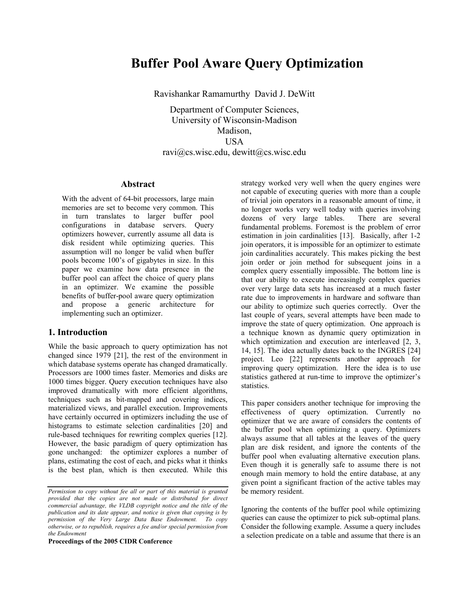# Buffer Pool Aware Query Optimization

Ravishankar Ramamurthy David J. DeWitt

Department of Computer Sciences, University of Wisconsin-Madison Madison, **USA** ravi@cs.wisc.edu, dewitt@cs.wisc.edu

# Abstract

With the advent of 64-bit processors, large main memories are set to become very common. This in turn translates to larger buffer pool configurations in database servers. Query optimizers however, currently assume all data is disk resident while optimizing queries. This assumption will no longer be valid when buffer pools become 100's of gigabytes in size. In this paper we examine how data presence in the buffer pool can affect the choice of query plans in an optimizer. We examine the possible benefits of buffer-pool aware query optimization and propose a generic architecture for implementing such an optimizer.

# 1. Introduction

While the basic approach to query optimization has not changed since 1979 [21], the rest of the environment in which database systems operate has changed dramatically. Processors are 1000 times faster. Memories and disks are 1000 times bigger. Query execution techniques have also improved dramatically with more efficient algorithms, techniques such as bit-mapped and covering indices, materialized views, and parallel execution. Improvements have certainly occurred in optimizers including the use of histograms to estimate selection cardinalities [20] and rule-based techniques for rewriting complex queries [12]. However, the basic paradigm of query optimization has gone unchanged: the optimizer explores a number of plans, estimating the cost of each, and picks what it thinks is the best plan, which is then executed. While this

Proceedings of the 2005 CIDR Conference

strategy worked very well when the query engines were not capable of executing queries with more than a couple of trivial join operators in a reasonable amount of time, it no longer works very well today with queries involving dozens of very large tables. There are several fundamental problems. Foremost is the problem of error estimation in join cardinalities [13]. Basically, after 1-2 join operators, it is impossible for an optimizer to estimate join cardinalities accurately. This makes picking the best join order or join method for subsequent joins in a complex query essentially impossible. The bottom line is that our ability to execute increasingly complex queries over very large data sets has increased at a much faster rate due to improvements in hardware and software than our ability to optimize such queries correctly. Over the last couple of years, several attempts have been made to improve the state of query optimization. One approach is a technique known as dynamic query optimization in which optimization and execution are interleaved [2, 3, 14, 15]. The idea actually dates back to the INGRES [24] project. Leo [22] represents another approach for improving query optimization. Here the idea is to use statistics gathered at run-time to improve the optimizer's statistics.

This paper considers another technique for improving the effectiveness of query optimization. Currently no optimizer that we are aware of considers the contents of the buffer pool when optimizing a query. Optimizers always assume that all tables at the leaves of the query plan are disk resident, and ignore the contents of the buffer pool when evaluating alternative execution plans. Even though it is generally safe to assume there is not enough main memory to hold the entire database, at any given point a significant fraction of the active tables may be memory resident.

Ignoring the contents of the buffer pool while optimizing queries can cause the optimizer to pick sub-optimal plans. Consider the following example. Assume a query includes a selection predicate on a table and assume that there is an

Permission to copy without fee all or part of this material is granted provided that the copies are not made or distributed for direct commercial advantage, the VLDB copyright notice and the title of the publication and its date appear, and notice is given that copying is by permission of the Very Large Data Base Endowment. To copy otherwise, or to republish, requires a fee and/or special permission from the Endowment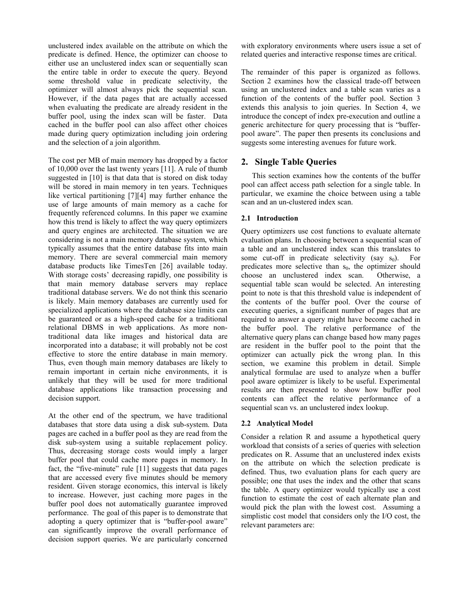unclustered index available on the attribute on which the predicate is defined. Hence, the optimizer can choose to either use an unclustered index scan or sequentially scan the entire table in order to execute the query. Beyond some threshold value in predicate selectivity, the optimizer will almost always pick the sequential scan. However, if the data pages that are actually accessed when evaluating the predicate are already resident in the buffer pool, using the index scan will be faster. Data cached in the buffer pool can also affect other choices made during query optimization including join ordering and the selection of a join algorithm.

The cost per MB of main memory has dropped by a factor of 10,000 over the last twenty years [11]. A rule of thumb suggested in [10] is that data that is stored on disk today will be stored in main memory in ten years. Techniques like vertical partitioning [7][4] may further enhance the use of large amounts of main memory as a cache for frequently referenced columns. In this paper we examine how this trend is likely to affect the way query optimizers and query engines are architected. The situation we are considering is not a main memory database system, which typically assumes that the entire database fits into main memory. There are several commercial main memory database products like TimesTen [26] available today. With storage costs' decreasing rapidly, one possibility is that main memory database servers may replace traditional database servers. We do not think this scenario is likely. Main memory databases are currently used for specialized applications where the database size limits can be guaranteed or as a high-speed cache for a traditional relational DBMS in web applications. As more nontraditional data like images and historical data are incorporated into a database; it will probably not be cost effective to store the entire database in main memory. Thus, even though main memory databases are likely to remain important in certain niche environments, it is unlikely that they will be used for more traditional database applications like transaction processing and decision support.

At the other end of the spectrum, we have traditional databases that store data using a disk sub-system. Data pages are cached in a buffer pool as they are read from the disk sub-system using a suitable replacement policy. Thus, decreasing storage costs would imply a larger buffer pool that could cache more pages in memory. In fact, the "five-minute" rule [11] suggests that data pages that are accessed every five minutes should be memory resident. Given storage economics, this interval is likely to increase. However, just caching more pages in the buffer pool does not automatically guarantee improved performance. The goal of this paper is to demonstrate that adopting a query optimizer that is "buffer-pool aware" can significantly improve the overall performance of decision support queries. We are particularly concerned

with exploratory environments where users issue a set of related queries and interactive response times are critical.

The remainder of this paper is organized as follows. Section 2 examines how the classical trade-off between using an unclustered index and a table scan varies as a function of the contents of the buffer pool. Section 3 extends this analysis to join queries. In Section 4, we introduce the concept of index pre-execution and outline a generic architecture for query processing that is "bufferpool aware". The paper then presents its conclusions and suggests some interesting avenues for future work.

# 2. Single Table Queries

This section examines how the contents of the buffer pool can affect access path selection for a single table. In particular, we examine the choice between using a table scan and an un-clustered index scan.

# 2.1 Introduction

Query optimizers use cost functions to evaluate alternate evaluation plans. In choosing between a sequential scan of a table and an unclustered index scan this translates to some cut-off in predicate selectivity (say  $s_0$ ). For predicates more selective than  $s_0$ , the optimizer should choose an unclustered index scan. Otherwise, a sequential table scan would be selected. An interesting point to note is that this threshold value is independent of the contents of the buffer pool. Over the course of executing queries, a significant number of pages that are required to answer a query might have become cached in the buffer pool. The relative performance of the alternative query plans can change based how many pages are resident in the buffer pool to the point that the optimizer can actually pick the wrong plan. In this section, we examine this problem in detail. Simple analytical formulae are used to analyze when a buffer pool aware optimizer is likely to be useful. Experimental results are then presented to show how buffer pool contents can affect the relative performance of a sequential scan vs. an unclustered index lookup.

# 2.2 Analytical Model

Consider a relation R and assume a hypothetical query workload that consists of a series of queries with selection predicates on R. Assume that an unclustered index exists on the attribute on which the selection predicate is defined. Thus, two evaluation plans for each query are possible; one that uses the index and the other that scans the table. A query optimizer would typically use a cost function to estimate the cost of each alternate plan and would pick the plan with the lowest cost. Assuming a simplistic cost model that considers only the I/O cost, the relevant parameters are: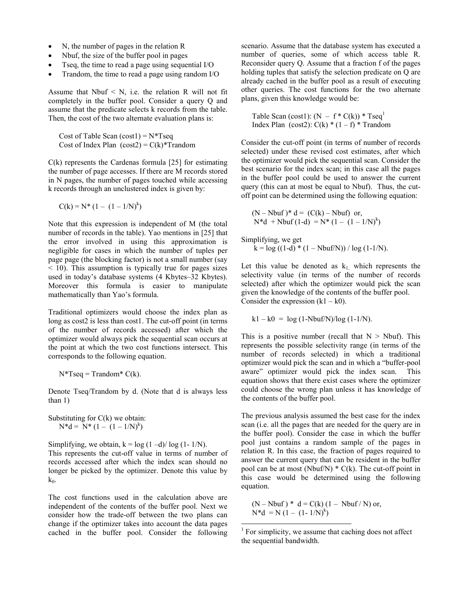- N, the number of pages in the relation R
- Nbuf, the size of the buffer pool in pages
- Tseq, the time to read a page using sequential I/O
- Trandom, the time to read a page using random I/O

Assume that  $N$ buf  $\leq N$ , i.e. the relation R will not fit completely in the buffer pool. Consider a query Q and assume that the predicate selects k records from the table. Then, the cost of the two alternate evaluation plans is:

Cost of Table Scan  $(cost1) = N*Tseq$ Cost of Index Plan  $(cost2) = C(k)$ <sup>\*</sup>Trandom

 $C(k)$  represents the Cardenas formula [25] for estimating the number of page accesses. If there are M records stored in N pages, the number of pages touched while accessing k records through an unclustered index is given by:

$$
C(k) = N^* (1 - (1 - 1/N)^k)
$$

Note that this expression is independent of M (the total number of records in the table). Yao mentions in [25] that the error involved in using this approximation is negligible for cases in which the number of tuples per page page (the blocking factor) is not a small number (say < 10). This assumption is typically true for pages sizes used in today's database systems (4 Kbytes–32 Kbytes). Moreover this formula is easier to manipulate mathematically than Yao's formula.

Traditional optimizers would choose the index plan as long as cost2 is less than cost1. The cut-off point (in terms of the number of records accessed) after which the optimizer would always pick the sequential scan occurs at the point at which the two cost functions intersect. This corresponds to the following equation.

 $N^*Tseq = Trandom^* C(k)$ .

Denote Tseq/Trandom by d. (Note that d is always less than 1)

Substituting for  $C(k)$  we obtain:  $N^*d = N^* (1 - (1 - 1/N)^k)$ 

Simplifying, we obtain,  $k = log (1 - d)/ log (1 - 1/N)$ .

This represents the cut-off value in terms of number of records accessed after which the index scan should no longer be picked by the optimizer. Denote this value by  $k_0$ .

The cost functions used in the calculation above are independent of the contents of the buffer pool. Next we consider how the trade-off between the two plans can change if the optimizer takes into account the data pages cached in the buffer pool. Consider the following scenario. Assume that the database system has executed a number of queries, some of which access table R. Reconsider query Q. Assume that a fraction f of the pages holding tuples that satisfy the selection predicate on Q are already cached in the buffer pool as a result of executing other queries. The cost functions for the two alternate plans, given this knowledge would be:

Table Scan (cost1):  $(N - f * C(k)) * Tseq^1$ Index Plan (cost2):  $C(k) * (1 - f) * Trandom$ 

Consider the cut-off point (in terms of number of records selected) under these revised cost estimates, after which the optimizer would pick the sequential scan. Consider the best scenario for the index scan; in this case all the pages in the buffer pool could be used to answer the current query (this can at most be equal to Nbuf). Thus, the cutoff point can be determined using the following equation:

 $(N - Nbuf)*d = (C(k) - Nbuf)$  or,  $N*d + Nbuf(1-d) = N*(1-(1-1/N)^k)$ 

Simplifying, we get

 $k = log ((1-d) * (1 - Nbuf/N)) / log (1-1/N).$ 

Let this value be denoted as  $k_1$ , which represents the selectivity value (in terms of the number of records selected) after which the optimizer would pick the scan given the knowledge of the contents of the buffer pool. Consider the expression  $(k1 - k0)$ .

$$
k1 - k0 = \log(1 - \frac{Nbuf}{N})/\log(1 - 1/N).
$$

This is a positive number (recall that  $N > N$ buf). This represents the possible selectivity range (in terms of the number of records selected) in which a traditional optimizer would pick the scan and in which a "buffer-pool aware" optimizer would pick the index scan. This equation shows that there exist cases where the optimizer could choose the wrong plan unless it has knowledge of the contents of the buffer pool.

The previous analysis assumed the best case for the index scan (i.e. all the pages that are needed for the query are in the buffer pool). Consider the case in which the buffer pool just contains a random sample of the pages in relation R. In this case, the fraction of pages required to answer the current query that can be resident in the buffer pool can be at most (Nbuf/N)  $* C(k)$ . The cut-off point in this case would be determined using the following equation.

 $(N - Nbuf) * d = C(k) (1 - Nbuf/N)$  or,  $N^*d = N (1 - (1 - 1/N)^k)$ 

-

 $<sup>1</sup>$  For simplicity, we assume that caching does not affect</sup> the sequential bandwidth.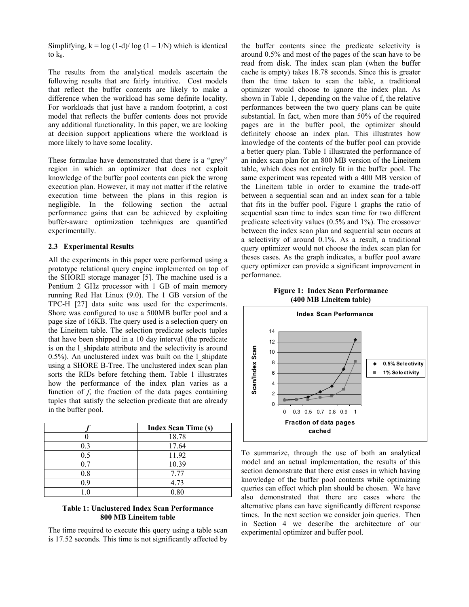Simplifying,  $k = log (1-d)/ log (1 - 1/N)$  which is identical to  $k_0$ .

The results from the analytical models ascertain the following results that are fairly intuitive. Cost models that reflect the buffer contents are likely to make a difference when the workload has some definite locality. For workloads that just have a random footprint, a cost model that reflects the buffer contents does not provide any additional functionality. In this paper, we are looking at decision support applications where the workload is more likely to have some locality.

These formulae have demonstrated that there is a "grey" region in which an optimizer that does not exploit knowledge of the buffer pool contents can pick the wrong execution plan. However, it may not matter if the relative execution time between the plans in this region is negligible. In the following section the actual performance gains that can be achieved by exploiting buffer-aware optimization techniques are quantified experimentally.

#### 2.3 Experimental Results

All the experiments in this paper were performed using a prototype relational query engine implemented on top of the SHORE storage manager [5]. The machine used is a Pentium 2 GHz processor with 1 GB of main memory running Red Hat Linux (9.0). The 1 GB version of the TPC-H [27] data suite was used for the experiments. Shore was configured to use a 500MB buffer pool and a page size of 16KB. The query used is a selection query on the Lineitem table. The selection predicate selects tuples that have been shipped in a 10 day interval (the predicate is on the l\_shipdate attribute and the selectivity is around 0.5%). An unclustered index was built on the l\_shipdate using a SHORE B-Tree. The unclustered index scan plan sorts the RIDs before fetching them. Table 1 illustrates how the performance of the index plan varies as a function of  $f$ , the fraction of the data pages containing tuples that satisfy the selection predicate that are already in the buffer pool.

|          | <b>Index Scan Time (s)</b> |
|----------|----------------------------|
|          | 18.78                      |
| 0.3      | 17.64                      |
| 0.5      | 11.92                      |
| 0.7      | 10.39                      |
| $_{0.8}$ | 7.77                       |
| 0.9      | 4.73                       |
|          | 0.80                       |

### Table 1: Unclustered Index Scan Performance 800 MB Lineitem table

The time required to execute this query using a table scan is 17.52 seconds. This time is not significantly affected by the buffer contents since the predicate selectivity is around 0.5% and most of the pages of the scan have to be read from disk. The index scan plan (when the buffer cache is empty) takes 18.78 seconds. Since this is greater than the time taken to scan the table, a traditional optimizer would choose to ignore the index plan. As shown in Table 1, depending on the value of f, the relative performances between the two query plans can be quite substantial. In fact, when more than 50% of the required pages are in the buffer pool, the optimizer should definitely choose an index plan. This illustrates how knowledge of the contents of the buffer pool can provide a better query plan. Table 1 illustrated the performance of an index scan plan for an 800 MB version of the Lineitem table, which does not entirely fit in the buffer pool. The same experiment was repeated with a 400 MB version of the Lineitem table in order to examine the trade-off between a sequential scan and an index scan for a table that fits in the buffer pool. Figure 1 graphs the ratio of sequential scan time to index scan time for two different predicate selectivity values (0.5% and 1%). The crossover between the index scan plan and sequential scan occurs at a selectivity of around 0.1%. As a result, a traditional query optimizer would not choose the index scan plan for theses cases. As the graph indicates, a buffer pool aware query optimizer can provide a significant improvement in performance.

Figure 1: Index Scan Performance (400 MB Lineitem table)



To summarize, through the use of both an analytical model and an actual implementation, the results of this section demonstrate that there exist cases in which having knowledge of the buffer pool contents while optimizing queries can effect which plan should be chosen. We have also demonstrated that there are cases where the alternative plans can have significantly different response times. In the next section we consider join queries. Then in Section 4 we describe the architecture of our experimental optimizer and buffer pool.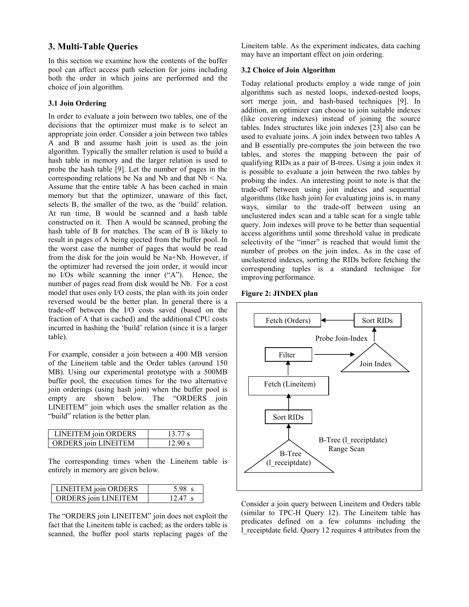# 3. Multi-Table Queries

In this section we examine how the contents of the buffer pool can affect access path selection for joins including both the order in which joins are performed and the choice of join algorithm.

#### 3.1 Join Ordering

In order to evaluate a join between two tables, one of the decisions that the optimizer must make is to select an appropriate join order. Consider a join between two tables A and B and assume hash join is used as the join algorithm. Typically the smaller relation is used to build a hash table in memory and the larger relation is used to probe the hash table [9]. Let the number of pages in the corresponding relations be Na and Nb and that  $Nb < Na$ . Assume that the entire table A has been cached in main memory but that the optimizer, unaware of this fact, selects B, the smaller of the two, as the 'build' relation. At run time, B would be scanned and a hash table constructed on it. Then A would be scanned, probing the hash table of B for matches. The scan of B is likely to result in pages of A being ejected from the buffer pool. In the worst case the number of pages that would be read from the disk for the join would be Na+Nb. However, if the optimizer had reversed the join order, it would incur no I/Os while scanning the inner ("A"). Hence, the number of pages read from disk would be Nb. For a cost model that uses only I/O costs, the plan with its join order reversed would be the better plan. In general there is a trade-off between the I/O costs saved (based on the fraction of A that is cached) and the additional CPU costs incurred in hashing the 'build' relation (since it is a larger table).

For example, consider a join between a 400 MB version of the Lineitem table and the Order tables (around 150 MB). Using our experimental prototype with a 500MB buffer pool, the execution times for the two alternative join orderings (using hash join) when the buffer pool is empty are shown below. The "ORDERS join LINEITEM" join which uses the smaller relation as the "build" relation is the better plan.

| <b>LINEITEM</b> join ORDERS | 1377 s  |
|-----------------------------|---------|
| <b>ORDERS</b> join LINEITEM | 12.90 s |

The corresponding times when the Lineitem table is entirely in memory are given below.

| <b>LINEITEM</b> join ORDERS | 598 s     |
|-----------------------------|-----------|
| <b>ORDERS</b> join LINEITEM | $12.47$ s |

The "ORDERS join LINEITEM" join does not exploit the fact that the Lineitem table is cached; as the orders table is scanned, the buffer pool starts replacing pages of the Lineitem table. As the experiment indicates, data caching may have an important effect on join ordering.

#### 3.2 Choice of Join Algorithm

Today relational products employ a wide range of join algorithms such as nested loops, indexed-nested loops, sort merge join, and hash-based techniques [9]. In addition, an optimizer can choose to join suitable indexes (like covering indexes) instead of joining the source tables. Index structures like join indexes [23] also can be used to evaluate joins. A join index between two tables A and B essentially pre-computes the join between the two tables, and stores the mapping between the pair of qualifying RIDs as a pair of B-trees. Using a join index it is possible to evaluate a join between the two tables by probing the index. An interesting point to note is that the trade-off between using join indexes and sequential algorithms (like hash join) for evaluating joins is, in many ways, similar to the trade-off between using an unclustered index scan and a table scan for a single table query. Join indexes will prove to be better than sequential access algorithms until some threshold value in predicate selectivity of the "inner" is reached that would limit the number of probes on the join index. As in the case of unclustered indexes, sorting the RIDs before fetching the corresponding tuples is a standard technique for improving performance.

|  |  | Figure 2: JINDEX plan |  |
|--|--|-----------------------|--|
|--|--|-----------------------|--|



Consider a join query between Lineitem and Orders table (similar to TPC-H Query 12). The Lineitem table has predicates defined on a few columns including the l\_receiptdate field. Query 12 requires 4 attributes from the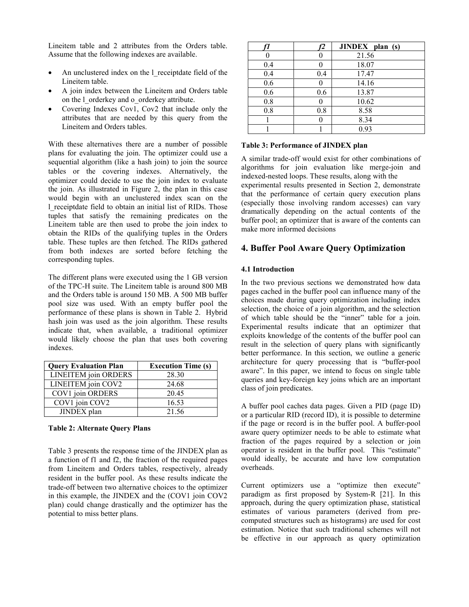Lineitem table and 2 attributes from the Orders table. Assume that the following indexes are available.

- An unclustered index on the l\_receiptdate field of the Lineitem table.
- A join index between the Lineitem and Orders table on the l\_orderkey and o\_orderkey attribute.
- Covering Indexes Cov1, Cov2 that include only the attributes that are needed by this query from the Lineitem and Orders tables.

With these alternatives there are a number of possible plans for evaluating the join. The optimizer could use a sequential algorithm (like a hash join) to join the source tables or the covering indexes. Alternatively, the optimizer could decide to use the join index to evaluate the join. As illustrated in Figure 2, the plan in this case would begin with an unclustered index scan on the l\_receiptdate field to obtain an initial list of RIDs. Those tuples that satisfy the remaining predicates on the Lineitem table are then used to probe the join index to obtain the RIDs of the qualifying tuples in the Orders table. These tuples are then fetched. The RIDs gathered from both indexes are sorted before fetching the corresponding tuples.

The different plans were executed using the 1 GB version of the TPC-H suite. The Lineitem table is around 800 MB and the Orders table is around 150 MB. A 500 MB buffer pool size was used. With an empty buffer pool the performance of these plans is shown in Table 2. Hybrid hash join was used as the join algorithm. These results indicate that, when available, a traditional optimizer would likely choose the plan that uses both covering indexes.

| <b>Query Evaluation Plan</b> | <b>Execution Time (s)</b> |
|------------------------------|---------------------------|
| LINEITEM join ORDERS         | 28.30                     |
| LINEITEM join COV2           | 24.68                     |
| COV1 join ORDERS             | 20.45                     |
| COV1 join COV2               | 16.53                     |
| JINDEX plan                  | 21.56                     |

#### Table 2: Alternate Query Plans

Table 3 presents the response time of the JINDEX plan as a function of f1 and f2, the fraction of the required pages from Lineitem and Orders tables, respectively, already resident in the buffer pool. As these results indicate the trade-off between two alternative choices to the optimizer in this example, the JINDEX and the (COV1 join COV2 plan) could change drastically and the optimizer has the potential to miss better plans.

|     |     | JINDEX plan (s) |
|-----|-----|-----------------|
|     |     | 21.56           |
| 0.4 |     | 18.07           |
| 0.4 | 0.4 | 17.47           |
| 0.6 |     | 14.16           |
| 0.6 | 0.6 | 13.87           |
| 0.8 |     | 10.62           |
| 0.8 | 0.8 | 8.58            |
|     |     | 8.34            |
|     |     | 0.93            |

#### Table 3: Performance of JINDEX plan

A similar trade-off would exist for other combinations of algorithms for join evaluation like merge-join and indexed-nested loops. These results, along with the

experimental results presented in Section 2, demonstrate that the performance of certain query execution plans (especially those involving random accesses) can vary dramatically depending on the actual contents of the buffer pool; an optimizer that is aware of the contents can make more informed decisions

# 4. Buffer Pool Aware Query Optimization

# 4.1 Introduction

In the two previous sections we demonstrated how data pages cached in the buffer pool can influence many of the choices made during query optimization including index selection, the choice of a join algorithm, and the selection of which table should be the "inner" table for a join. Experimental results indicate that an optimizer that exploits knowledge of the contents of the buffer pool can result in the selection of query plans with significantly better performance. In this section, we outline a generic architecture for query processing that is "buffer-pool aware". In this paper, we intend to focus on single table queries and key-foreign key joins which are an important class of join predicates.

A buffer pool caches data pages. Given a PID (page ID) or a particular RID (record ID), it is possible to determine if the page or record is in the buffer pool. A buffer-pool aware query optimizer needs to be able to estimate what fraction of the pages required by a selection or join operator is resident in the buffer pool. This "estimate" would ideally, be accurate and have low computation overheads.

Current optimizers use a "optimize then execute" paradigm as first proposed by System-R [21]. In this approach, during the query optimization phase, statistical estimates of various parameters (derived from precomputed structures such as histograms) are used for cost estimation. Notice that such traditional schemes will not be effective in our approach as query optimization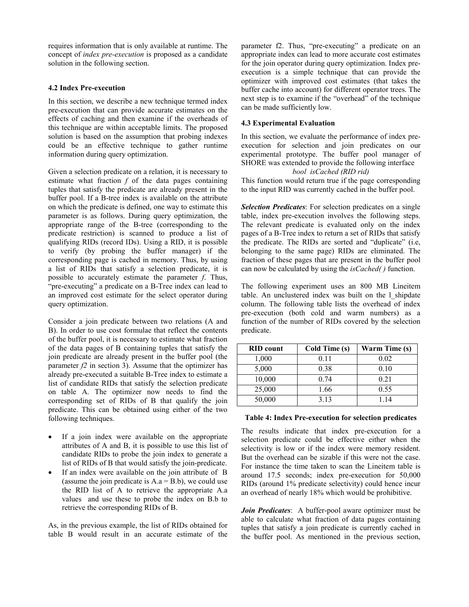requires information that is only available at runtime. The concept of index pre-execution is proposed as a candidate solution in the following section.

# 4.2 Index Pre-execution

In this section, we describe a new technique termed index pre-execution that can provide accurate estimates on the effects of caching and then examine if the overheads of this technique are within acceptable limits. The proposed solution is based on the assumption that probing indexes could be an effective technique to gather runtime information during query optimization.

Given a selection predicate on a relation, it is necessary to estimate what fraction  $f$  of the data pages containing tuples that satisfy the predicate are already present in the buffer pool. If a B-tree index is available on the attribute on which the predicate is defined, one way to estimate this parameter is as follows. During query optimization, the appropriate range of the B-tree (corresponding to the predicate restriction) is scanned to produce a list of qualifying RIDs (record IDs). Using a RID, it is possible to verify (by probing the buffer manager) if the corresponding page is cached in memory. Thus, by using a list of RIDs that satisfy a selection predicate, it is possible to accurately estimate the parameter f. Thus, "pre-executing" a predicate on a B-Tree index can lead to an improved cost estimate for the select operator during query optimization.

Consider a join predicate between two relations (A and B). In order to use cost formulae that reflect the contents of the buffer pool, it is necessary to estimate what fraction of the data pages of B containing tuples that satisfy the join predicate are already present in the buffer pool (the parameter  $f2$  in section 3). Assume that the optimizer has already pre-executed a suitable B-Tree index to estimate a list of candidate RIDs that satisfy the selection predicate on table A. The optimizer now needs to find the corresponding set of RIDs of B that qualify the join predicate. This can be obtained using either of the two following techniques.

- If a join index were available on the appropriate attributes of A and B, it is possible to use this list of candidate RIDs to probe the join index to generate a list of RIDs of B that would satisfy the join-predicate.
- If an index were available on the join attribute of B (assume the join predicate is  $A.a = B.b$ ), we could use the RID list of A to retrieve the appropriate A.a values and use these to probe the index on B.b to retrieve the corresponding RIDs of B.

As, in the previous example, the list of RIDs obtained for table B would result in an accurate estimate of the

parameter f2. Thus, "pre-executing" a predicate on an appropriate index can lead to more accurate cost estimates for the join operator during query optimization. Index preexecution is a simple technique that can provide the optimizer with improved cost estimates (that takes the buffer cache into account) for different operator trees. The next step is to examine if the "overhead" of the technique can be made sufficiently low.

#### 4.3 Experimental Evaluation

In this section, we evaluate the performance of index preexecution for selection and join predicates on our experimental prototype. The buffer pool manager of SHORE was extended to provide the following interface

# bool isCached (RID rid)

This function would return true if the page corresponding to the input RID was currently cached in the buffer pool.

Selection Predicates: For selection predicates on a single table, index pre-execution involves the following steps. The relevant predicate is evaluated only on the index pages of a B-Tree index to return a set of RIDs that satisfy the predicate. The RIDs are sorted and "duplicate" (i.e, belonging to the same page) RIDs are eliminated. The fraction of these pages that are present in the buffer pool can now be calculated by using the isCached( ) function.

The following experiment uses an 800 MB Lineitem table. An unclustered index was built on the l\_shipdate column. The following table lists the overhead of index pre-execution (both cold and warm numbers) as a function of the number of RIDs covered by the selection predicate.

| <b>RID</b> count | Cold Time (s) | Warm Time (s) |
|------------------|---------------|---------------|
| 1,000            | 0.11          | 0.02          |
| 5,000            | 0.38          | 0.10          |
| 10,000           | 0.74          | 0.21          |
| 25,000           | 1.66          | 0.55          |
| 50,000           | 3.13          | 114           |

### Table 4: Index Pre-execution for selection predicates

The results indicate that index pre-execution for a selection predicate could be effective either when the selectivity is low or if the index were memory resident. But the overhead can be sizable if this were not the case. For instance the time taken to scan the Lineitem table is around 17.5 seconds; index pre-execution for 50,000 RIDs (around 1% predicate selectivity) could hence incur an overhead of nearly 18% which would be prohibitive.

Join Predicates: A buffer-pool aware optimizer must be able to calculate what fraction of data pages containing tuples that satisfy a join predicate is currently cached in the buffer pool. As mentioned in the previous section,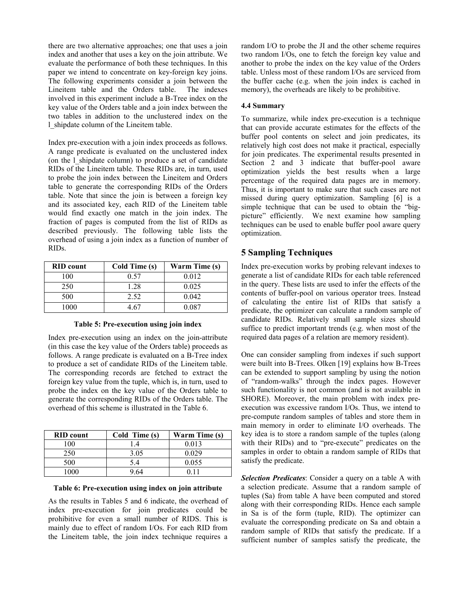there are two alternative approaches; one that uses a join index and another that uses a key on the join attribute. We evaluate the performance of both these techniques. In this paper we intend to concentrate on key-foreign key joins. The following experiments consider a join between the Lineitem table and the Orders table. The indexes involved in this experiment include a B-Tree index on the key value of the Orders table and a join index between the two tables in addition to the unclustered index on the l\_shipdate column of the Lineitem table.

Index pre-execution with a join index proceeds as follows. A range predicate is evaluated on the unclustered index (on the l\_shipdate column) to produce a set of candidate RIDs of the Lineitem table. These RIDs are, in turn, used to probe the join index between the Lineitem and Orders table to generate the corresponding RIDs of the Orders table. Note that since the join is between a foreign key and its associated key, each RID of the Lineitem table would find exactly one match in the join index. The fraction of pages is computed from the list of RIDs as described previously. The following table lists the overhead of using a join index as a function of number of RIDs.

| <b>RID</b> count | Cold Time (s) | Warm Time (s) |
|------------------|---------------|---------------|
| 100              | 0.57          | 0.012         |
| 250              | 1.28          | 0.025         |
| 500              | 2.52          | 0.042         |
| 1000             | -67           | 0.087         |

|  | Table 5: Pre-execution using join index |  |  |
|--|-----------------------------------------|--|--|
|  |                                         |  |  |

Index pre-execution using an index on the join-attribute (in this case the key value of the Orders table) proceeds as follows. A range predicate is evaluated on a B-Tree index to produce a set of candidate RIDs of the Lineitem table. The corresponding records are fetched to extract the foreign key value from the tuple, which is, in turn, used to probe the index on the key value of the Orders table to generate the corresponding RIDs of the Orders table. The overhead of this scheme is illustrated in the Table 6.

| <b>RID</b> count | Cold Time (s) | Warm Time (s) |
|------------------|---------------|---------------|
| 100              | -4            | 0.013         |
| 250              | 3.05          | 0.029         |
| 500              | 54            | 0.055         |
| 1000             |               | በ 11          |

#### Table 6: Pre-execution using index on join attribute

As the results in Tables 5 and 6 indicate, the overhead of index pre-execution for join predicates could be prohibitive for even a small number of RIDS. This is mainly due to effect of random I/Os. For each RID from the Lineitem table, the join index technique requires a

random I/O to probe the JI and the other scheme requires two random I/Os, one to fetch the foreign key value and another to probe the index on the key value of the Orders table. Unless most of these random I/Os are serviced from the buffer cache (e.g. when the join index is cached in memory), the overheads are likely to be prohibitive.

#### 4.4 Summary

To summarize, while index pre-execution is a technique that can provide accurate estimates for the effects of the buffer pool contents on select and join predicates, its relatively high cost does not make it practical, especially for join predicates. The experimental results presented in Section 2 and 3 indicate that buffer-pool aware optimization yields the best results when a large percentage of the required data pages are in memory. Thus, it is important to make sure that such cases are not missed during query optimization. Sampling [6] is a simple technique that can be used to obtain the "bigpicture" efficiently. We next examine how sampling techniques can be used to enable buffer pool aware query optimization.

# 5 Sampling Techniques

Index pre-execution works by probing relevant indexes to generate a list of candidate RIDs for each table referenced in the query. These lists are used to infer the effects of the contents of buffer-pool on various operator trees. Instead of calculating the entire list of RIDs that satisfy a predicate, the optimizer can calculate a random sample of candidate RIDs. Relatively small sample sizes should suffice to predict important trends (e.g. when most of the required data pages of a relation are memory resident).

One can consider sampling from indexes if such support were built into B-Trees. Olken [19] explains how B-Trees can be extended to support sampling by using the notion of "random-walks" through the index pages. However such functionality is not common (and is not available in SHORE). Moreover, the main problem with index preexecution was excessive random I/Os. Thus, we intend to pre-compute random samples of tables and store them in main memory in order to eliminate I/O overheads. The key idea is to store a random sample of the tuples (along with their RIDs) and to "pre-execute" predicates on the samples in order to obtain a random sample of RIDs that satisfy the predicate.

Selection Predicates: Consider a query on a table A with a selection predicate. Assume that a random sample of tuples (Sa) from table A have been computed and stored along with their corresponding RIDs. Hence each sample in Sa is of the form (tuple, RID). The optimizer can evaluate the corresponding predicate on Sa and obtain a random sample of RIDs that satisfy the predicate. If a sufficient number of samples satisfy the predicate, the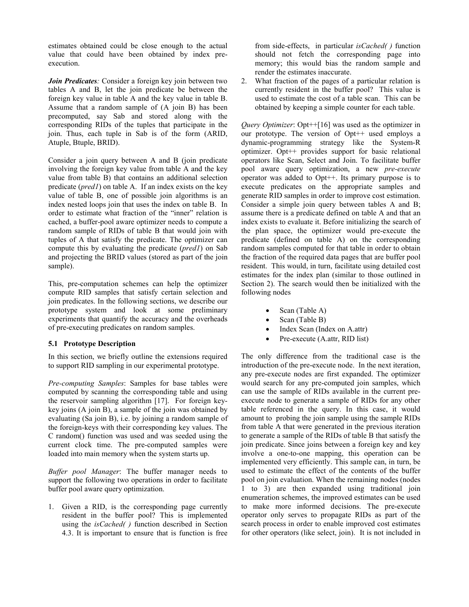estimates obtained could be close enough to the actual value that could have been obtained by index preexecution.

Join Predicates: Consider a foreign key join between two tables A and B, let the join predicate be between the foreign key value in table A and the key value in table B. Assume that a random sample of (A join B) has been precomputed, say Sab and stored along with the corresponding RIDs of the tuples that participate in the join. Thus, each tuple in Sab is of the form (ARID, Atuple, Btuple, BRID).

Consider a join query between A and B (join predicate involving the foreign key value from table A and the key value from table B) that contains an additional selection predicate ( $pred1$ ) on table A. If an index exists on the key value of table B, one of possible join algorithms is an index nested loops join that uses the index on table B. In order to estimate what fraction of the "inner" relation is cached, a buffer-pool aware optimizer needs to compute a random sample of RIDs of table B that would join with tuples of A that satisfy the predicate. The optimizer can compute this by evaluating the predicate (pred1) on Sab and projecting the BRID values (stored as part of the join sample).

This, pre-computation schemes can help the optimizer compute RID samples that satisfy certain selection and join predicates. In the following sections, we describe our prototype system and look at some preliminary experiments that quantify the accuracy and the overheads of pre-executing predicates on random samples.

# 5.1 Prototype Description

In this section, we briefly outline the extensions required to support RID sampling in our experimental prototype.

Pre-computing Samples: Samples for base tables were computed by scanning the corresponding table and using the reservoir sampling algorithm [17]. For foreign keykey joins (A join B), a sample of the join was obtained by evaluating (Sa join B), i.e. by joining a random sample of the foreign-keys with their corresponding key values. The C random() function was used and was seeded using the current clock time. The pre-computed samples were loaded into main memory when the system starts up.

Buffer pool Manager: The buffer manager needs to support the following two operations in order to facilitate buffer pool aware query optimization.

1. Given a RID, is the corresponding page currently resident in the buffer pool? This is implemented using the isCached( ) function described in Section 4.3. It is important to ensure that is function is free

from side-effects, in particular isCached() function should not fetch the corresponding page into memory; this would bias the random sample and render the estimates inaccurate.

2. What fraction of the pages of a particular relation is currently resident in the buffer pool? This value is used to estimate the cost of a table scan. This can be obtained by keeping a simple counter for each table.

Query Optimizer: Opt++[16] was used as the optimizer in our prototype. The version of Opt++ used employs a dynamic-programming strategy like the System-R optimizer. Opt++ provides support for basic relational operators like Scan, Select and Join. To facilitate buffer pool aware query optimization, a new pre-execute operator was added to Opt++. Its primary purpose is to execute predicates on the appropriate samples and generate RID samples in order to improve cost estimation. Consider a simple join query between tables A and B; assume there is a predicate defined on table A and that an index exists to evaluate it. Before initializing the search of the plan space, the optimizer would pre-execute the predicate (defined on table A) on the corresponding random samples computed for that table in order to obtain the fraction of the required data pages that are buffer pool resident. This would, in turn, facilitate using detailed cost estimates for the index plan (similar to those outlined in Section 2). The search would then be initialized with the following nodes

- Scan (Table A)
- Scan (Table B)
- Index Scan (Index on A.attr)
- Pre-execute (A.attr, RID list)

The only difference from the traditional case is the introduction of the pre-execute node. In the next iteration, any pre-execute nodes are first expanded. The optimizer would search for any pre-computed join samples, which can use the sample of RIDs available in the current preexecute node to generate a sample of RIDs for any other table referenced in the query. In this case, it would amount to probing the join sample using the sample RIDs from table A that were generated in the previous iteration to generate a sample of the RIDs of table B that satisfy the join predicate. Since joins between a foreign key and key involve a one-to-one mapping, this operation can be implemented very efficiently. This sample can, in turn, be used to estimate the effect of the contents of the buffer pool on join evaluation. When the remaining nodes (nodes 1 to 3) are then expanded using traditional join enumeration schemes, the improved estimates can be used to make more informed decisions. The pre-execute operator only serves to propagate RIDs as part of the search process in order to enable improved cost estimates for other operators (like select, join). It is not included in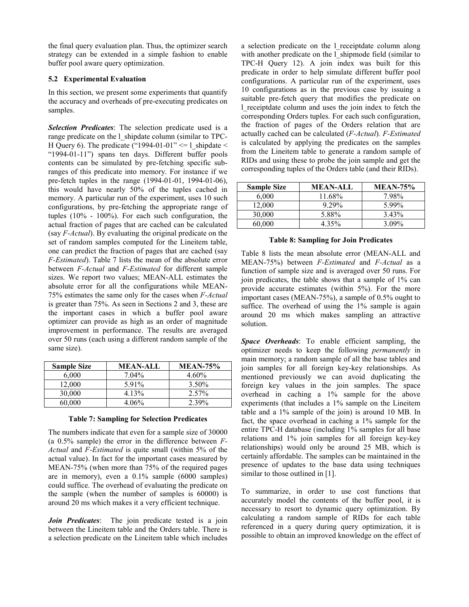the final query evaluation plan. Thus, the optimizer search strategy can be extended in a simple fashion to enable buffer pool aware query optimization.

# 5.2 Experimental Evaluation

In this section, we present some experiments that quantify the accuracy and overheads of pre-executing predicates on samples.

Selection Predicates: The selection predicate used is a range predicate on the l\_shipdate column (similar to TPC-H Query 6). The predicate ("1994-01-01"  $\leq$  = 1 shipdate  $\leq$ "1994-01-11") spans ten days. Different buffer pools contents can be simulated by pre-fetching specific subranges of this predicate into memory. For instance if we pre-fetch tuples in the range (1994-01-01, 1994-01-06), this would have nearly 50% of the tuples cached in memory. A particular run of the experiment, uses 10 such configurations, by pre-fetching the appropriate range of tuples (10% - 100%). For each such configuration, the actual fraction of pages that are cached can be calculated (say F-Actual). By evaluating the original predicate on the set of random samples computed for the Lineitem table, one can predict the fraction of pages that are cached (say F-Estimated). Table 7 lists the mean of the absolute error between F-Actual and F-Estimated for different sample sizes. We report two values; MEAN-ALL estimates the absolute error for all the configurations while MEAN-75% estimates the same only for the cases when F-Actual is greater than 75%. As seen in Sections 2 and 3, these are the important cases in which a buffer pool aware optimizer can provide as high as an order of magnitude improvement in performance. The results are averaged over 50 runs (each using a different random sample of the same size).

| <b>Sample Size</b> | <b>MEAN-ALL</b> | <b>MEAN-75%</b> |
|--------------------|-----------------|-----------------|
| 6.000              | $7.04\%$        | $4.60\%$        |
| 12,000             | 5.91%           | 3.50%           |
| 30,000             | 4.13%           | 2.57%           |
| 60,000             | 4 06%           | 2 39%           |

#### Table 7: Sampling for Selection Predicates

The numbers indicate that even for a sample size of 30000 (a  $0.5\%$  sample) the error in the difference between  $F-$ Actual and F-Estimated is quite small (within 5% of the actual value). In fact for the important cases measured by MEAN-75% (when more than 75% of the required pages are in memory), even a 0.1% sample (6000 samples) could suffice. The overhead of evaluating the predicate on the sample (when the number of samples is 60000) is around 20 ms which makes it a very efficient technique.

Join Predicates: The join predicate tested is a join between the Lineitem table and the Orders table. There is a selection predicate on the Lineitem table which includes a selection predicate on the l\_receiptdate column along with another predicate on the l\_shipmode field (similar to TPC-H Query 12). A join index was built for this predicate in order to help simulate different buffer pool configurations. A particular run of the experiment, uses 10 configurations as in the previous case by issuing a suitable pre-fetch query that modifies the predicate on l\_receiptdate column and uses the join index to fetch the corresponding Orders tuples. For each such configuration, the fraction of pages of the Orders relation that are actually cached can be calculated (F-Actual). F-Estimated is calculated by applying the predicates on the samples from the Lineitem table to generate a random sample of RIDs and using these to probe the join sample and get the corresponding tuples of the Orders table (and their RIDs).

| <b>Sample Size</b> | MEAN-ALL | <b>MEAN-75%</b> |
|--------------------|----------|-----------------|
| 6.000              | 11.68%   | 7.98%           |
| 12.000             | 9 29%    | 599%            |
| 30,000             | 5.88%    | 3.43%           |
| 60.000             | 4.35%    | $3.09\%$        |

### Table 8: Sampling for Join Predicates

Table 8 lists the mean absolute error (MEAN-ALL and MEAN-75%) between F-Estimated and F-Actual as a function of sample size and is averaged over 50 runs. For join predicates, the table shows that a sample of 1% can provide accurate estimates (within 5%). For the more important cases (MEAN-75%), a sample of 0.5% ought to suffice. The overhead of using the 1% sample is again around 20 ms which makes sampling an attractive solution.

Space Overheads: To enable efficient sampling, the optimizer needs to keep the following permanently in main memory; a random sample of all the base tables and join samples for all foreign key-key relationships. As mentioned previously we can avoid duplicating the foreign key values in the join samples. The space overhead in caching a 1% sample for the above experiments (that includes a 1% sample on the Lineitem table and a 1% sample of the join) is around 10 MB. In fact, the space overhead in caching a 1% sample for the entire TPC-H database (including 1% samples for all base relations and 1% join samples for all foreign key-key relationships) would only be around 25 MB, which is certainly affordable. The samples can be maintained in the presence of updates to the base data using techniques similar to those outlined in [1].

To summarize, in order to use cost functions that accurately model the contents of the buffer pool, it is necessary to resort to dynamic query optimization. By calculating a random sample of RIDs for each table referenced in a query during query optimization, it is possible to obtain an improved knowledge on the effect of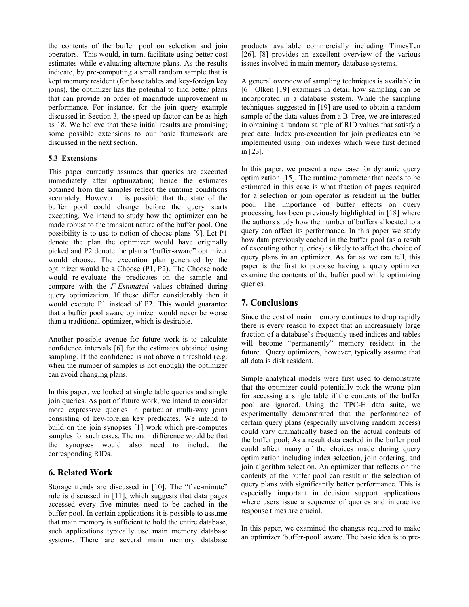the contents of the buffer pool on selection and join operators. This would, in turn, facilitate using better cost estimates while evaluating alternate plans. As the results indicate, by pre-computing a small random sample that is kept memory resident (for base tables and key-foreign key joins), the optimizer has the potential to find better plans that can provide an order of magnitude improvement in performance. For instance, for the join query example discussed in Section 3, the speed-up factor can be as high as 18. We believe that these initial results are promising; some possible extensions to our basic framework are discussed in the next section.

# 5.3 Extensions

This paper currently assumes that queries are executed immediately after optimization; hence the estimates obtained from the samples reflect the runtime conditions accurately. However it is possible that the state of the buffer pool could change before the query starts executing. We intend to study how the optimizer can be made robust to the transient nature of the buffer pool. One possibility is to use to notion of choose plans [9]. Let P1 denote the plan the optimizer would have originally picked and P2 denote the plan a "buffer-aware" optimizer would choose. The execution plan generated by the optimizer would be a Choose (P1, P2). The Choose node would re-evaluate the predicates on the sample and compare with the F-Estimated values obtained during query optimization. If these differ considerably then it would execute P1 instead of P2. This would guarantee that a buffer pool aware optimizer would never be worse than a traditional optimizer, which is desirable.

Another possible avenue for future work is to calculate confidence intervals [6] for the estimates obtained using sampling. If the confidence is not above a threshold (e.g. when the number of samples is not enough) the optimizer can avoid changing plans.

In this paper, we looked at single table queries and single join queries. As part of future work, we intend to consider more expressive queries in particular multi-way joins consisting of key-foreign key predicates. We intend to build on the join synopses [1] work which pre-computes samples for such cases. The main difference would be that the synopses would also need to include the corresponding RIDs.

# 6. Related Work

Storage trends are discussed in [10]. The "five-minute" rule is discussed in [11], which suggests that data pages accessed every five minutes need to be cached in the buffer pool. In certain applications it is possible to assume that main memory is sufficient to hold the entire database, such applications typically use main memory database systems. There are several main memory database

products available commercially including TimesTen [26]. [8] provides an excellent overview of the various issues involved in main memory database systems.

A general overview of sampling techniques is available in [6]. Olken [19] examines in detail how sampling can be incorporated in a database system. While the sampling techniques suggested in [19] are used to obtain a random sample of the data values from a B-Tree, we are interested in obtaining a random sample of RID values that satisfy a predicate. Index pre-execution for join predicates can be implemented using join indexes which were first defined in [23].

In this paper, we present a new case for dynamic query optimization [15]. The runtime parameter that needs to be estimated in this case is what fraction of pages required for a selection or join operator is resident in the buffer pool. The importance of buffer effects on query processing has been previously highlighted in [18] where the authors study how the number of buffers allocated to a query can affect its performance. In this paper we study how data previously cached in the buffer pool (as a result of executing other queries) is likely to affect the choice of query plans in an optimizer. As far as we can tell, this paper is the first to propose having a query optimizer examine the contents of the buffer pool while optimizing queries.

# 7. Conclusions

Since the cost of main memory continues to drop rapidly there is every reason to expect that an increasingly large fraction of a database's frequently used indices and tables will become "permanently" memory resident in the future. Query optimizers, however, typically assume that all data is disk resident.

Simple analytical models were first used to demonstrate that the optimizer could potentially pick the wrong plan for accessing a single table if the contents of the buffer pool are ignored. Using the TPC-H data suite, we experimentally demonstrated that the performance of certain query plans (especially involving random access) could vary dramatically based on the actual contents of the buffer pool; As a result data cached in the buffer pool could affect many of the choices made during query optimization including index selection, join ordering, and join algorithm selection. An optimizer that reflects on the contents of the buffer pool can result in the selection of query plans with significantly better performance. This is especially important in decision support applications where users issue a sequence of queries and interactive response times are crucial.

In this paper, we examined the changes required to make an optimizer 'buffer-pool' aware. The basic idea is to pre